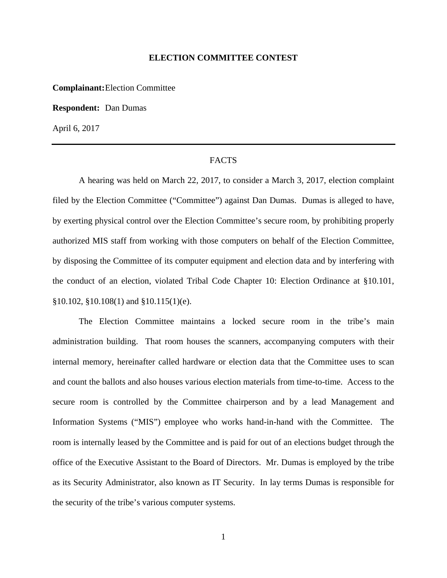### **ELECTION COMMITTEE CONTEST**

**Complainant:** Election Committee

**Respondent:** Dan Dumas

April 6, 2017

## FACTS

 A hearing was held on March 22, 2017, to consider a March 3, 2017, election complaint filed by the Election Committee ("Committee") against Dan Dumas. Dumas is alleged to have, by exerting physical control over the Election Committee's secure room, by prohibiting properly authorized MIS staff from working with those computers on behalf of the Election Committee, by disposing the Committee of its computer equipment and election data and by interfering with the conduct of an election, violated Tribal Code Chapter 10: Election Ordinance at §10.101, §10.102, §10.108(1) and §10.115(1)(e).

 The Election Committee maintains a locked secure room in the tribe's main administration building. That room houses the scanners, accompanying computers with their internal memory, hereinafter called hardware or election data that the Committee uses to scan and count the ballots and also houses various election materials from time-to-time. Access to the secure room is controlled by the Committee chairperson and by a lead Management and Information Systems ("MIS") employee who works hand-in-hand with the Committee. The room is internally leased by the Committee and is paid for out of an elections budget through the office of the Executive Assistant to the Board of Directors. Mr. Dumas is employed by the tribe as its Security Administrator, also known as IT Security. In lay terms Dumas is responsible for the security of the tribe's various computer systems.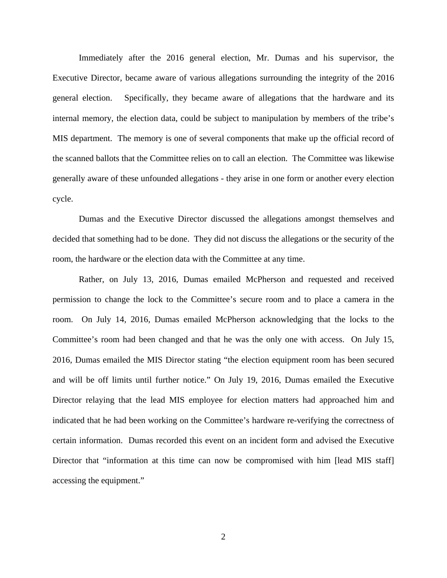Immediately after the 2016 general election, Mr. Dumas and his supervisor, the Executive Director, became aware of various allegations surrounding the integrity of the 2016 general election. Specifically, they became aware of allegations that the hardware and its internal memory, the election data, could be subject to manipulation by members of the tribe's MIS department. The memory is one of several components that make up the official record of the scanned ballots that the Committee relies on to call an election. The Committee was likewise generally aware of these unfounded allegations - they arise in one form or another every election cycle.

Dumas and the Executive Director discussed the allegations amongst themselves and decided that something had to be done. They did not discuss the allegations or the security of the room, the hardware or the election data with the Committee at any time.

Rather, on July 13, 2016, Dumas emailed McPherson and requested and received permission to change the lock to the Committee's secure room and to place a camera in the room. On July 14, 2016, Dumas emailed McPherson acknowledging that the locks to the Committee's room had been changed and that he was the only one with access. On July 15, 2016, Dumas emailed the MIS Director stating "the election equipment room has been secured and will be off limits until further notice." On July 19, 2016, Dumas emailed the Executive Director relaying that the lead MIS employee for election matters had approached him and indicated that he had been working on the Committee's hardware re-verifying the correctness of certain information. Dumas recorded this event on an incident form and advised the Executive Director that "information at this time can now be compromised with him [lead MIS staff] accessing the equipment."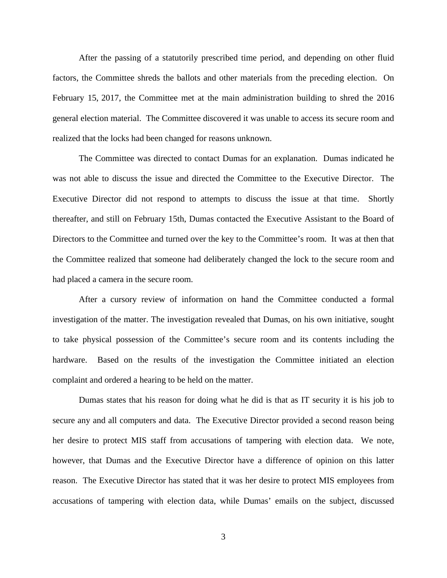After the passing of a statutorily prescribed time period, and depending on other fluid factors, the Committee shreds the ballots and other materials from the preceding election. On February 15, 2017, the Committee met at the main administration building to shred the 2016 general election material. The Committee discovered it was unable to access its secure room and realized that the locks had been changed for reasons unknown.

The Committee was directed to contact Dumas for an explanation. Dumas indicated he was not able to discuss the issue and directed the Committee to the Executive Director. The Executive Director did not respond to attempts to discuss the issue at that time. Shortly thereafter, and still on February 15th, Dumas contacted the Executive Assistant to the Board of Directors to the Committee and turned over the key to the Committee's room. It was at then that the Committee realized that someone had deliberately changed the lock to the secure room and had placed a camera in the secure room.

After a cursory review of information on hand the Committee conducted a formal investigation of the matter. The investigation revealed that Dumas, on his own initiative, sought to take physical possession of the Committee's secure room and its contents including the hardware. Based on the results of the investigation the Committee initiated an election complaint and ordered a hearing to be held on the matter.

Dumas states that his reason for doing what he did is that as IT security it is his job to secure any and all computers and data. The Executive Director provided a second reason being her desire to protect MIS staff from accusations of tampering with election data. We note, however, that Dumas and the Executive Director have a difference of opinion on this latter reason. The Executive Director has stated that it was her desire to protect MIS employees from accusations of tampering with election data, while Dumas' emails on the subject, discussed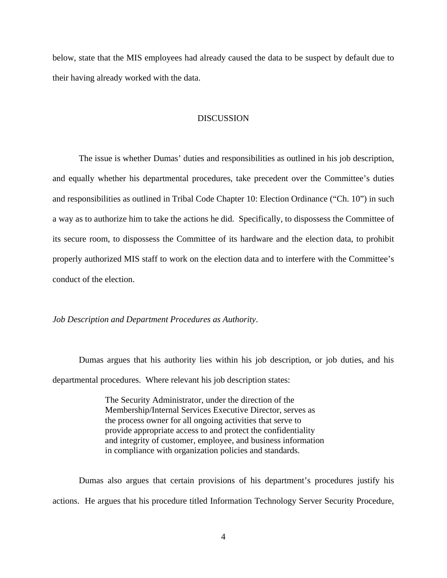below, state that the MIS employees had already caused the data to be suspect by default due to their having already worked with the data.

### **DISCUSSION**

 The issue is whether Dumas' duties and responsibilities as outlined in his job description, and equally whether his departmental procedures, take precedent over the Committee's duties and responsibilities as outlined in Tribal Code Chapter 10: Election Ordinance ("Ch. 10") in such a way as to authorize him to take the actions he did. Specifically, to dispossess the Committee of its secure room, to dispossess the Committee of its hardware and the election data, to prohibit properly authorized MIS staff to work on the election data and to interfere with the Committee's conduct of the election.

*Job Description and Department Procedures as Authority*.

 Dumas argues that his authority lies within his job description, or job duties, and his departmental procedures. Where relevant his job description states:

> The Security Administrator, under the direction of the Membership/Internal Services Executive Director, serves as the process owner for all ongoing activities that serve to provide appropriate access to and protect the confidentiality and integrity of customer, employee, and business information in compliance with organization policies and standards.

Dumas also argues that certain provisions of his department's procedures justify his actions. He argues that his procedure titled Information Technology Server Security Procedure,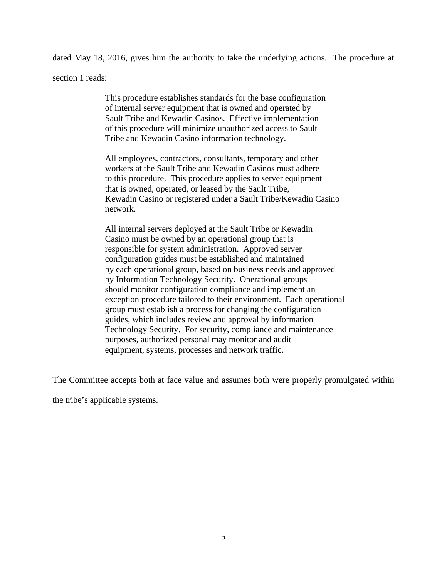dated May 18, 2016, gives him the authority to take the underlying actions. The procedure at

section 1 reads:

This procedure establishes standards for the base configuration of internal server equipment that is owned and operated by Sault Tribe and Kewadin Casinos. Effective implementation of this procedure will minimize unauthorized access to Sault Tribe and Kewadin Casino information technology.

All employees, contractors, consultants, temporary and other workers at the Sault Tribe and Kewadin Casinos must adhere to this procedure. This procedure applies to server equipment that is owned, operated, or leased by the Sault Tribe, Kewadin Casino or registered under a Sault Tribe/Kewadin Casino network.

All internal servers deployed at the Sault Tribe or Kewadin Casino must be owned by an operational group that is responsible for system administration. Approved server configuration guides must be established and maintained by each operational group, based on business needs and approved by Information Technology Security. Operational groups should monitor configuration compliance and implement an exception procedure tailored to their environment. Each operational group must establish a process for changing the configuration guides, which includes review and approval by information Technology Security. For security, compliance and maintenance purposes, authorized personal may monitor and audit equipment, systems, processes and network traffic.

The Committee accepts both at face value and assumes both were properly promulgated within

the tribe's applicable systems.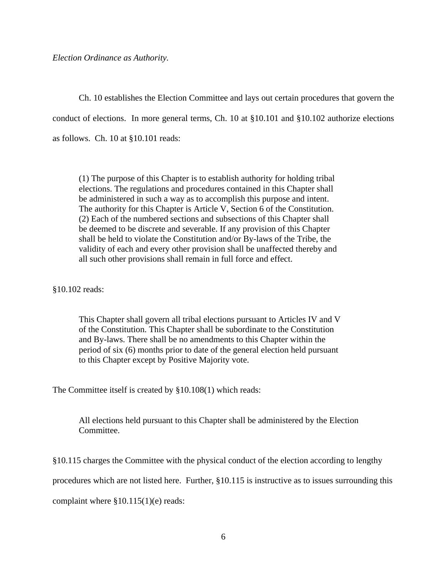*Election Ordinance as Authority.*

 Ch. 10 establishes the Election Committee and lays out certain procedures that govern the conduct of elections. In more general terms, Ch. 10 at §10.101 and §10.102 authorize elections as follows. Ch. 10 at §10.101 reads:

(1) The purpose of this Chapter is to establish authority for holding tribal elections. The regulations and procedures contained in this Chapter shall be administered in such a way as to accomplish this purpose and intent. The authority for this Chapter is Article V, Section 6 of the Constitution. (2) Each of the numbered sections and subsections of this Chapter shall be deemed to be discrete and severable. If any provision of this Chapter shall be held to violate the Constitution and/or By-laws of the Tribe, the validity of each and every other provision shall be unaffected thereby and all such other provisions shall remain in full force and effect.

§10.102 reads:

This Chapter shall govern all tribal elections pursuant to Articles IV and V of the Constitution. This Chapter shall be subordinate to the Constitution and By-laws. There shall be no amendments to this Chapter within the period of six (6) months prior to date of the general election held pursuant to this Chapter except by Positive Majority vote.

The Committee itself is created by §10.108(1) which reads:

All elections held pursuant to this Chapter shall be administered by the Election Committee.

§10.115 charges the Committee with the physical conduct of the election according to lengthy

procedures which are not listed here. Further, §10.115 is instructive as to issues surrounding this

complaint where §10.115(1)(e) reads: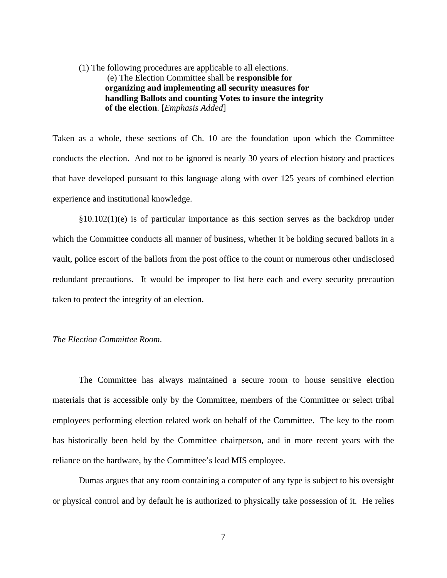# (1) The following procedures are applicable to all elections. (e) The Election Committee shall be **responsible for organizing and implementing all security measures for handling Ballots and counting Votes to insure the integrity of the election**. [*Emphasis Added*]

Taken as a whole, these sections of Ch. 10 are the foundation upon which the Committee conducts the election. And not to be ignored is nearly 30 years of election history and practices that have developed pursuant to this language along with over 125 years of combined election experience and institutional knowledge.

§10.102(1)(e) is of particular importance as this section serves as the backdrop under which the Committee conducts all manner of business, whether it be holding secured ballots in a vault, police escort of the ballots from the post office to the count or numerous other undisclosed redundant precautions. It would be improper to list here each and every security precaution taken to protect the integrity of an election.

### *The Election Committee Room*.

The Committee has always maintained a secure room to house sensitive election materials that is accessible only by the Committee, members of the Committee or select tribal employees performing election related work on behalf of the Committee. The key to the room has historically been held by the Committee chairperson, and in more recent years with the reliance on the hardware, by the Committee's lead MIS employee.

Dumas argues that any room containing a computer of any type is subject to his oversight or physical control and by default he is authorized to physically take possession of it. He relies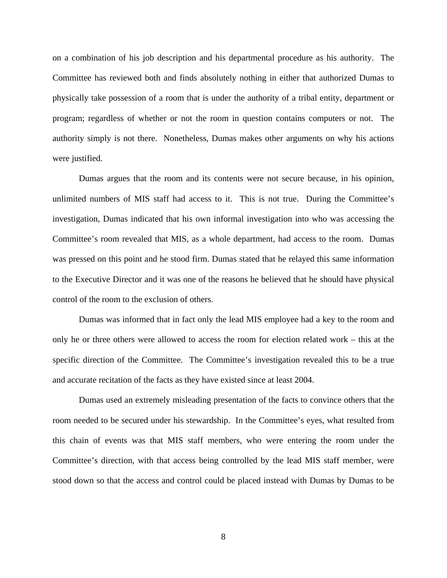on a combination of his job description and his departmental procedure as his authority. The Committee has reviewed both and finds absolutely nothing in either that authorized Dumas to physically take possession of a room that is under the authority of a tribal entity, department or program; regardless of whether or not the room in question contains computers or not. The authority simply is not there. Nonetheless, Dumas makes other arguments on why his actions were justified.

Dumas argues that the room and its contents were not secure because, in his opinion, unlimited numbers of MIS staff had access to it. This is not true. During the Committee's investigation, Dumas indicated that his own informal investigation into who was accessing the Committee's room revealed that MIS, as a whole department, had access to the room. Dumas was pressed on this point and he stood firm. Dumas stated that he relayed this same information to the Executive Director and it was one of the reasons he believed that he should have physical control of the room to the exclusion of others.

Dumas was informed that in fact only the lead MIS employee had a key to the room and only he or three others were allowed to access the room for election related work – this at the specific direction of the Committee. The Committee's investigation revealed this to be a true and accurate recitation of the facts as they have existed since at least 2004.

Dumas used an extremely misleading presentation of the facts to convince others that the room needed to be secured under his stewardship. In the Committee's eyes, what resulted from this chain of events was that MIS staff members, who were entering the room under the Committee's direction, with that access being controlled by the lead MIS staff member, were stood down so that the access and control could be placed instead with Dumas by Dumas to be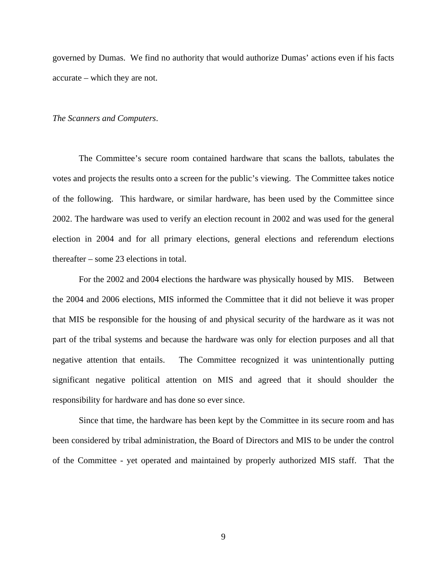governed by Dumas. We find no authority that would authorize Dumas' actions even if his facts accurate – which they are not.

#### *The Scanners and Computers*.

 The Committee's secure room contained hardware that scans the ballots, tabulates the votes and projects the results onto a screen for the public's viewing. The Committee takes notice of the following. This hardware, or similar hardware, has been used by the Committee since 2002. The hardware was used to verify an election recount in 2002 and was used for the general election in 2004 and for all primary elections, general elections and referendum elections thereafter – some 23 elections in total.

For the 2002 and 2004 elections the hardware was physically housed by MIS. Between the 2004 and 2006 elections, MIS informed the Committee that it did not believe it was proper that MIS be responsible for the housing of and physical security of the hardware as it was not part of the tribal systems and because the hardware was only for election purposes and all that negative attention that entails. The Committee recognized it was unintentionally putting significant negative political attention on MIS and agreed that it should shoulder the responsibility for hardware and has done so ever since.

Since that time, the hardware has been kept by the Committee in its secure room and has been considered by tribal administration, the Board of Directors and MIS to be under the control of the Committee - yet operated and maintained by properly authorized MIS staff. That the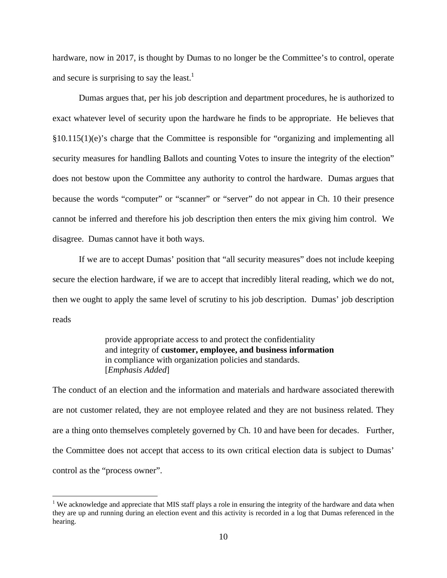hardware, now in 2017, is thought by Dumas to no longer be the Committee's to control, operate and secure is surprising to say the least.<sup>1</sup>

Dumas argues that, per his job description and department procedures, he is authorized to exact whatever level of security upon the hardware he finds to be appropriate. He believes that §10.115(1)(e)'s charge that the Committee is responsible for "organizing and implementing all security measures for handling Ballots and counting Votes to insure the integrity of the election" does not bestow upon the Committee any authority to control the hardware. Dumas argues that because the words "computer" or "scanner" or "server" do not appear in Ch. 10 their presence cannot be inferred and therefore his job description then enters the mix giving him control. We disagree. Dumas cannot have it both ways.

 If we are to accept Dumas' position that "all security measures" does not include keeping secure the election hardware, if we are to accept that incredibly literal reading, which we do not, then we ought to apply the same level of scrutiny to his job description. Dumas' job description reads

> provide appropriate access to and protect the confidentiality and integrity of **customer, employee, and business information** in compliance with organization policies and standards. [*Emphasis Added*]

The conduct of an election and the information and materials and hardware associated therewith are not customer related, they are not employee related and they are not business related. They are a thing onto themselves completely governed by Ch. 10 and have been for decades. Further, the Committee does not accept that access to its own critical election data is subject to Dumas' control as the "process owner".

 $\overline{a}$ 

<sup>&</sup>lt;sup>1</sup> We acknowledge and appreciate that MIS staff plays a role in ensuring the integrity of the hardware and data when they are up and running during an election event and this activity is recorded in a log that Dumas referenced in the hearing.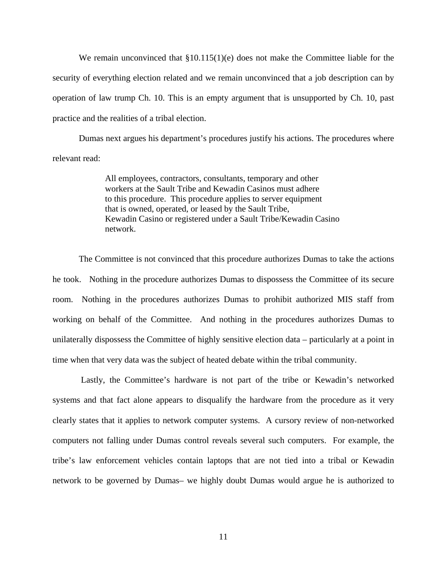We remain unconvinced that  $\S 10.115(1)(e)$  does not make the Committee liable for the security of everything election related and we remain unconvinced that a job description can by operation of law trump Ch. 10. This is an empty argument that is unsupported by Ch. 10, past practice and the realities of a tribal election.

Dumas next argues his department's procedures justify his actions. The procedures where relevant read:

> All employees, contractors, consultants, temporary and other workers at the Sault Tribe and Kewadin Casinos must adhere to this procedure. This procedure applies to server equipment that is owned, operated, or leased by the Sault Tribe, Kewadin Casino or registered under a Sault Tribe/Kewadin Casino network.

The Committee is not convinced that this procedure authorizes Dumas to take the actions he took. Nothing in the procedure authorizes Dumas to dispossess the Committee of its secure room. Nothing in the procedures authorizes Dumas to prohibit authorized MIS staff from working on behalf of the Committee. And nothing in the procedures authorizes Dumas to unilaterally dispossess the Committee of highly sensitive election data – particularly at a point in time when that very data was the subject of heated debate within the tribal community.

 Lastly, the Committee's hardware is not part of the tribe or Kewadin's networked systems and that fact alone appears to disqualify the hardware from the procedure as it very clearly states that it applies to network computer systems. A cursory review of non-networked computers not falling under Dumas control reveals several such computers. For example, the tribe's law enforcement vehicles contain laptops that are not tied into a tribal or Kewadin network to be governed by Dumas– we highly doubt Dumas would argue he is authorized to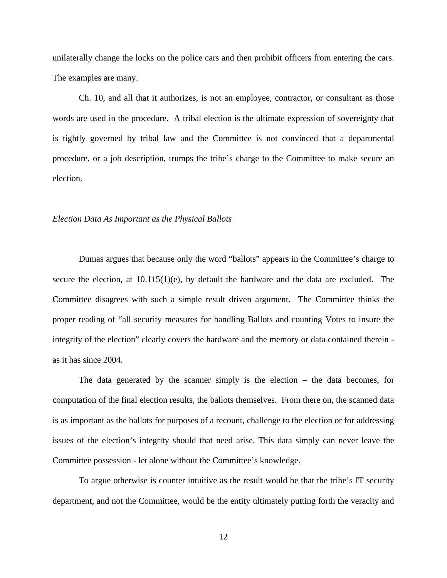unilaterally change the locks on the police cars and then prohibit officers from entering the cars. The examples are many.

Ch. 10, and all that it authorizes, is not an employee, contractor, or consultant as those words are used in the procedure. A tribal election is the ultimate expression of sovereignty that is tightly governed by tribal law and the Committee is not convinced that a departmental procedure, or a job description, trumps the tribe's charge to the Committee to make secure an election.

### *Election Data As Important as the Physical Ballots*

Dumas argues that because only the word "ballots" appears in the Committee's charge to secure the election, at  $10.115(1)(e)$ , by default the hardware and the data are excluded. The Committee disagrees with such a simple result driven argument. The Committee thinks the proper reading of "all security measures for handling Ballots and counting Votes to insure the integrity of the election" clearly covers the hardware and the memory or data contained therein as it has since 2004.

The data generated by the scanner simply is the election – the data becomes, for computation of the final election results, the ballots themselves. From there on, the scanned data is as important as the ballots for purposes of a recount, challenge to the election or for addressing issues of the election's integrity should that need arise. This data simply can never leave the Committee possession - let alone without the Committee's knowledge.

To argue otherwise is counter intuitive as the result would be that the tribe's IT security department, and not the Committee, would be the entity ultimately putting forth the veracity and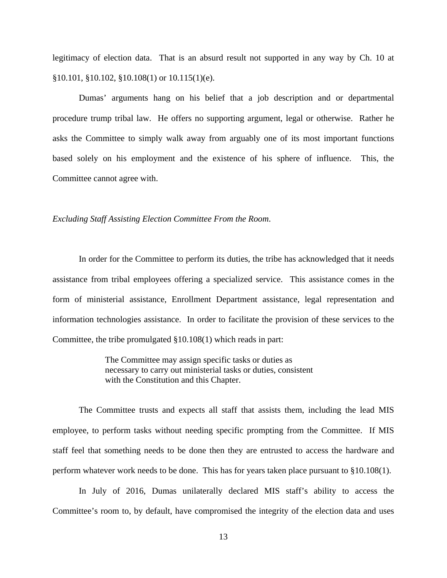legitimacy of election data. That is an absurd result not supported in any way by Ch. 10 at §10.101, §10.102, §10.108(1) or 10.115(1)(e).

Dumas' arguments hang on his belief that a job description and or departmental procedure trump tribal law. He offers no supporting argument, legal or otherwise. Rather he asks the Committee to simply walk away from arguably one of its most important functions based solely on his employment and the existence of his sphere of influence. This, the Committee cannot agree with.

### *Excluding Staff Assisting Election Committee From the Room*.

In order for the Committee to perform its duties, the tribe has acknowledged that it needs assistance from tribal employees offering a specialized service. This assistance comes in the form of ministerial assistance, Enrollment Department assistance, legal representation and information technologies assistance. In order to facilitate the provision of these services to the Committee, the tribe promulgated §10.108(1) which reads in part:

> The Committee may assign specific tasks or duties as necessary to carry out ministerial tasks or duties, consistent with the Constitution and this Chapter.

 The Committee trusts and expects all staff that assists them, including the lead MIS employee, to perform tasks without needing specific prompting from the Committee. If MIS staff feel that something needs to be done then they are entrusted to access the hardware and perform whatever work needs to be done. This has for years taken place pursuant to §10.108(1).

In July of 2016, Dumas unilaterally declared MIS staff's ability to access the Committee's room to, by default, have compromised the integrity of the election data and uses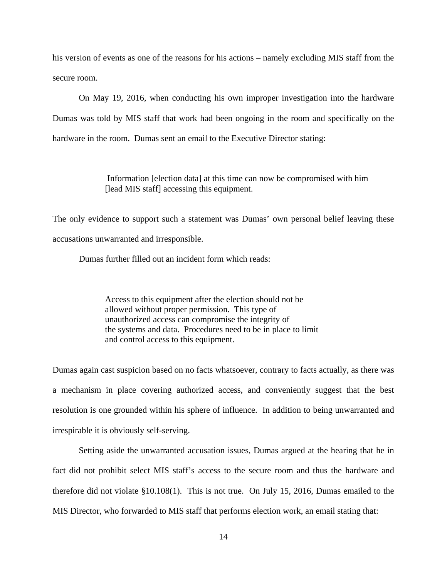his version of events as one of the reasons for his actions – namely excluding MIS staff from the secure room.

On May 19, 2016, when conducting his own improper investigation into the hardware Dumas was told by MIS staff that work had been ongoing in the room and specifically on the hardware in the room. Dumas sent an email to the Executive Director stating:

> Information [election data] at this time can now be compromised with him [lead MIS staff] accessing this equipment.

The only evidence to support such a statement was Dumas' own personal belief leaving these accusations unwarranted and irresponsible.

Dumas further filled out an incident form which reads:

Access to this equipment after the election should not be allowed without proper permission. This type of unauthorized access can compromise the integrity of the systems and data. Procedures need to be in place to limit and control access to this equipment.

Dumas again cast suspicion based on no facts whatsoever, contrary to facts actually, as there was a mechanism in place covering authorized access, and conveniently suggest that the best resolution is one grounded within his sphere of influence. In addition to being unwarranted and irrespirable it is obviously self-serving.

 Setting aside the unwarranted accusation issues, Dumas argued at the hearing that he in fact did not prohibit select MIS staff's access to the secure room and thus the hardware and therefore did not violate §10.108(1). This is not true. On July 15, 2016, Dumas emailed to the MIS Director, who forwarded to MIS staff that performs election work, an email stating that: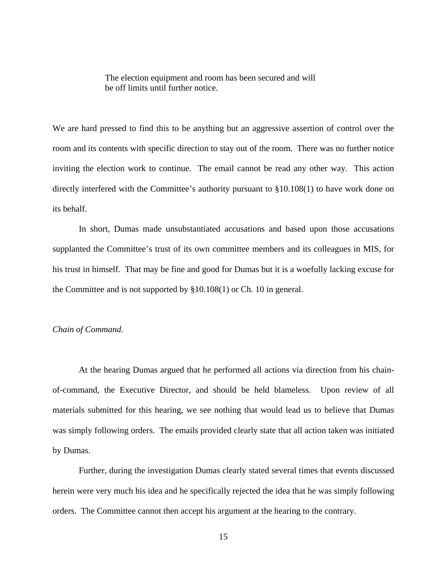The election equipment and room has been secured and will be off limits until further notice.

We are hard pressed to find this to be anything but an aggressive assertion of control over the room and its contents with specific direction to stay out of the room. There was no further notice inviting the election work to continue. The email cannot be read any other way. This action directly interfered with the Committee's authority pursuant to §10.108(1) to have work done on its behalf.

In short, Dumas made unsubstantiated accusations and based upon those accusations supplanted the Committee's trust of its own committee members and its colleagues in MIS, for his trust in himself. That may be fine and good for Dumas but it is a woefully lacking excuse for the Committee and is not supported by §10.108(1) or Ch. 10 in general.

## *Chain of Command.*

 At the hearing Dumas argued that he performed all actions via direction from his chainof-command, the Executive Director, and should be held blameless. Upon review of all materials submitted for this hearing, we see nothing that would lead us to believe that Dumas was simply following orders. The emails provided clearly state that all action taken was initiated by Dumas.

Further, during the investigation Dumas clearly stated several times that events discussed herein were very much his idea and he specifically rejected the idea that he was simply following orders. The Committee cannot then accept his argument at the hearing to the contrary.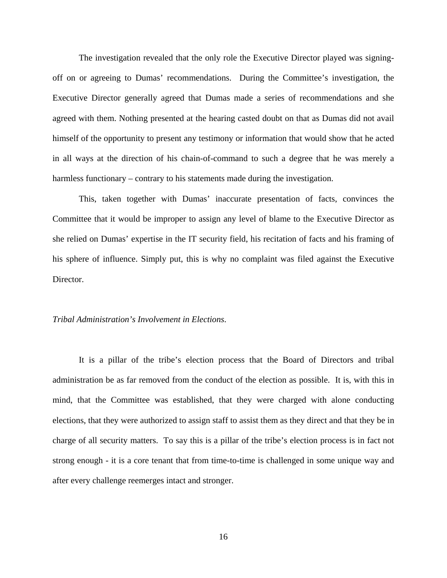The investigation revealed that the only role the Executive Director played was signingoff on or agreeing to Dumas' recommendations. During the Committee's investigation, the Executive Director generally agreed that Dumas made a series of recommendations and she agreed with them. Nothing presented at the hearing casted doubt on that as Dumas did not avail himself of the opportunity to present any testimony or information that would show that he acted in all ways at the direction of his chain-of-command to such a degree that he was merely a harmless functionary – contrary to his statements made during the investigation.

This, taken together with Dumas' inaccurate presentation of facts, convinces the Committee that it would be improper to assign any level of blame to the Executive Director as she relied on Dumas' expertise in the IT security field, his recitation of facts and his framing of his sphere of influence. Simply put, this is why no complaint was filed against the Executive Director.

## *Tribal Administration's Involvement in Elections*.

 It is a pillar of the tribe's election process that the Board of Directors and tribal administration be as far removed from the conduct of the election as possible. It is, with this in mind, that the Committee was established, that they were charged with alone conducting elections, that they were authorized to assign staff to assist them as they direct and that they be in charge of all security matters. To say this is a pillar of the tribe's election process is in fact not strong enough - it is a core tenant that from time-to-time is challenged in some unique way and after every challenge reemerges intact and stronger.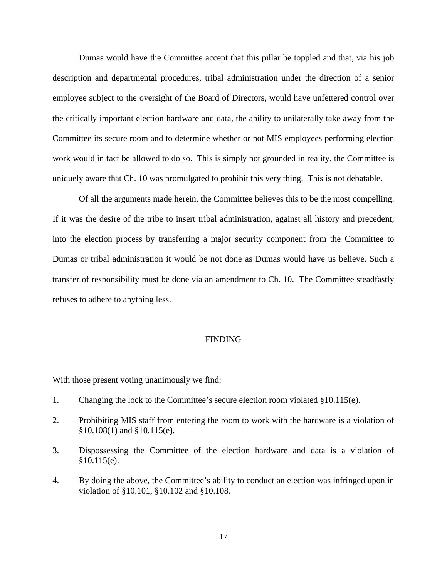Dumas would have the Committee accept that this pillar be toppled and that, via his job description and departmental procedures, tribal administration under the direction of a senior employee subject to the oversight of the Board of Directors, would have unfettered control over the critically important election hardware and data, the ability to unilaterally take away from the Committee its secure room and to determine whether or not MIS employees performing election work would in fact be allowed to do so. This is simply not grounded in reality, the Committee is uniquely aware that Ch. 10 was promulgated to prohibit this very thing. This is not debatable.

 Of all the arguments made herein, the Committee believes this to be the most compelling. If it was the desire of the tribe to insert tribal administration, against all history and precedent, into the election process by transferring a major security component from the Committee to Dumas or tribal administration it would be not done as Dumas would have us believe. Such a transfer of responsibility must be done via an amendment to Ch. 10. The Committee steadfastly refuses to adhere to anything less.

## FINDING

With those present voting unanimously we find:

- 1. Changing the lock to the Committee's secure election room violated §10.115(e).
- 2. Prohibiting MIS staff from entering the room to work with the hardware is a violation of §10.108(1) and §10.115(e).
- 3. Dispossessing the Committee of the election hardware and data is a violation of  $§10.115(e).$
- 4. By doing the above, the Committee's ability to conduct an election was infringed upon in violation of §10.101, §10.102 and §10.108.